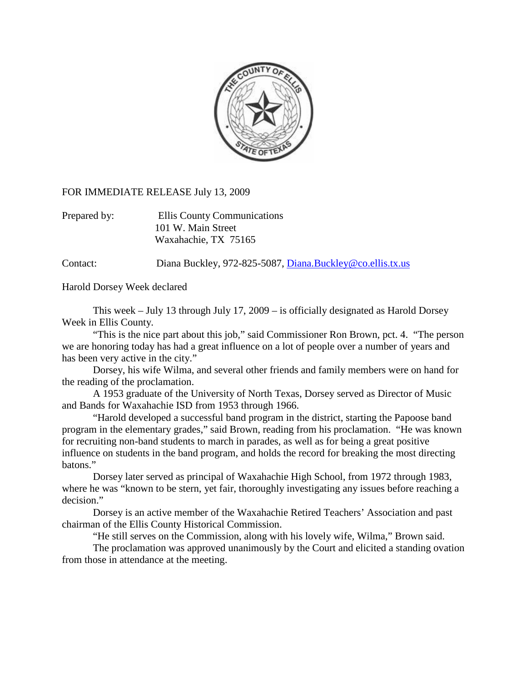

## FOR IMMEDIATE RELEASE July 13, 2009

Prepared by: Ellis County Communications 101 W. Main Street Waxahachie, TX 75165

Contact: Diana Buckley, 972-825-5087, [Diana.Buckley@co.ellis.tx.us](mailto:Diana.Buckley@co.ellis.tx.us)

Harold Dorsey Week declared

 This week – July 13 through July 17, 2009 – is officially designated as Harold Dorsey Week in Ellis County.

 "This is the nice part about this job," said Commissioner Ron Brown, pct. 4. "The person we are honoring today has had a great influence on a lot of people over a number of years and has been very active in the city."

 Dorsey, his wife Wilma, and several other friends and family members were on hand for the reading of the proclamation.

 A 1953 graduate of the University of North Texas, Dorsey served as Director of Music and Bands for Waxahachie ISD from 1953 through 1966.

"Harold developed a successful band program in the district, starting the Papoose band program in the elementary grades," said Brown, reading from his proclamation. "He was known for recruiting non-band students to march in parades, as well as for being a great positive influence on students in the band program, and holds the record for breaking the most directing batons."

Dorsey later served as principal of Waxahachie High School, from 1972 through 1983, where he was "known to be stern, yet fair, thoroughly investigating any issues before reaching a decision."

Dorsey is an active member of the Waxahachie Retired Teachers' Association and past chairman of the Ellis County Historical Commission.

"He still serves on the Commission, along with his lovely wife, Wilma," Brown said.

The proclamation was approved unanimously by the Court and elicited a standing ovation from those in attendance at the meeting.